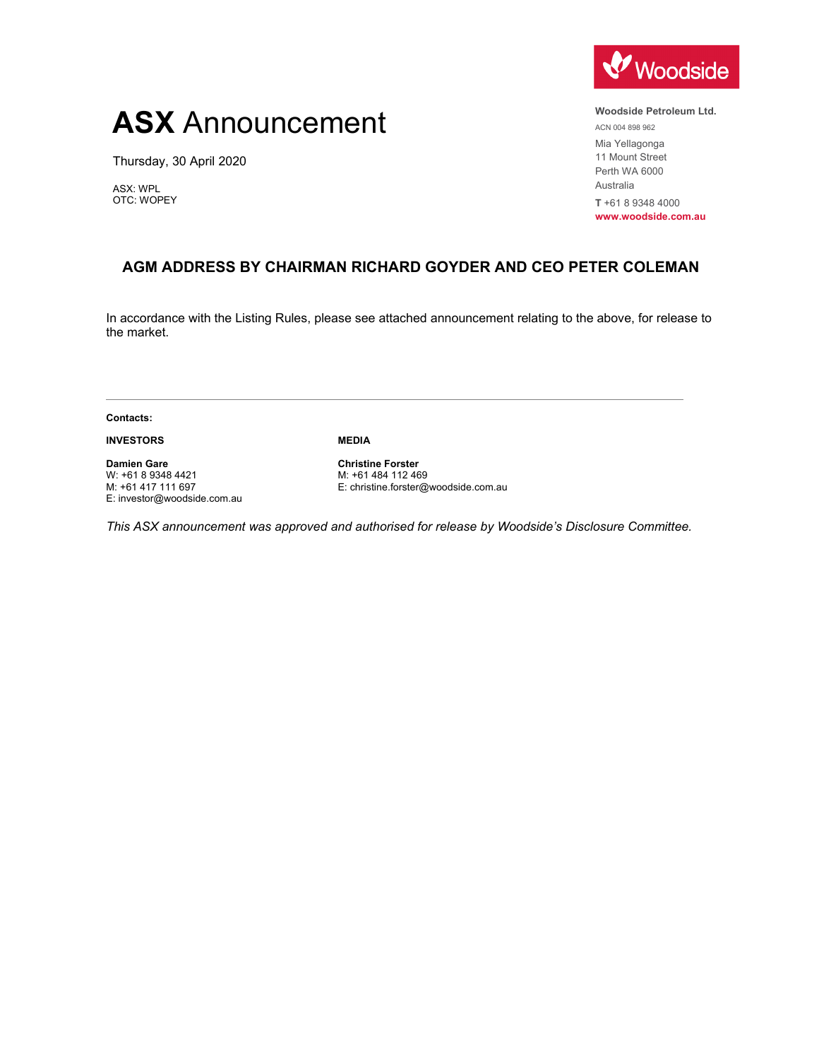## **ASX** Announcement

Thursday, 30 April 2020

ASX: WPL OTC: WOPEY



**Woodside Petroleum Ltd.** 

ACN 004 898 962 Mia Yellagonga 11 Mount Street Perth WA 6000 Australia **T** +61 8 9348 4000

**www.woodside.com.au** 

## **AGM ADDRESS BY CHAIRMAN RICHARD GOYDER AND CEO PETER COLEMAN**

In accordance with the Listing Rules, please see attached announcement relating to the above, for release to the market.

**Contacts:** 

**INVESTORS** 

**MEDIA** 

**Damien Gare**  W: +61 8 9348 4421 M: +61 417 111 697 E: investor@woodside.com.au

**Christine Forster**  M: +61 484 112 469 E: christine.forster@woodside.com.au

*This ASX announcement was approved and authorised for release by Woodside's Disclosure Committee.*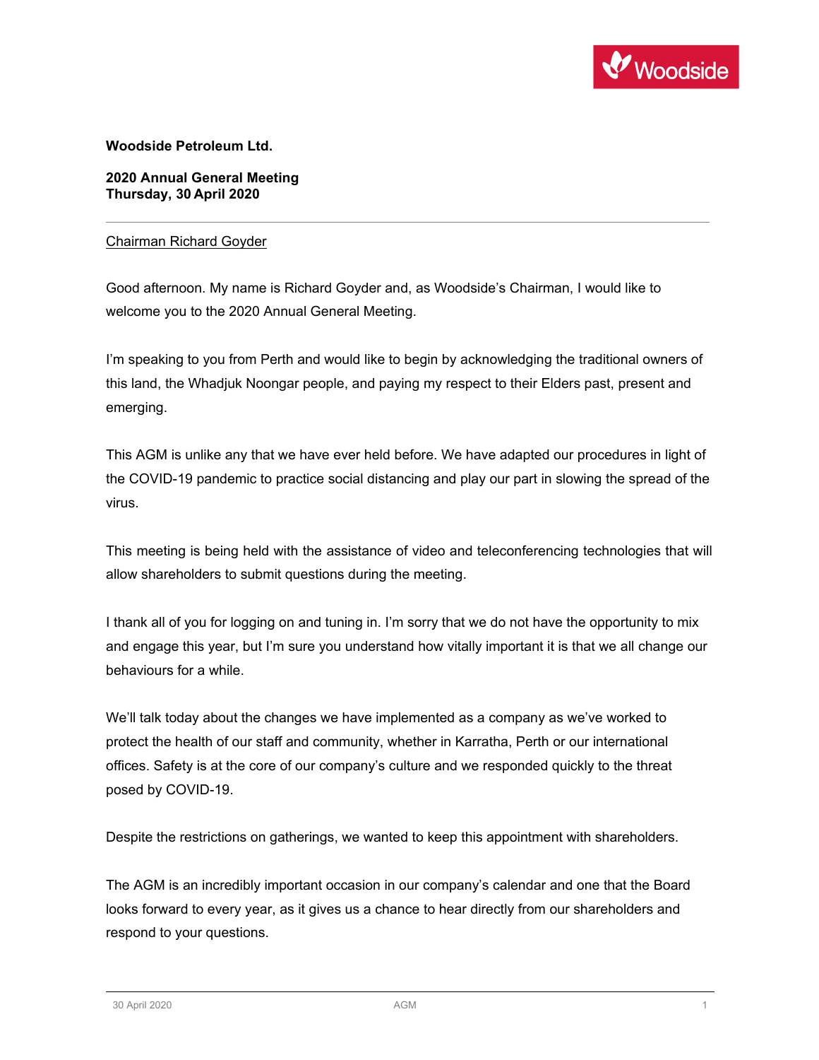

**Woodside Petroleum Ltd.**

**2020 Annual General Meeting Thursday, 30 April 2020** 

## Chairman Richard Goyder

Good afternoon. My name is Richard Goyder and, as Woodside's Chairman, I would like to welcome you to the 2020 Annual General Meeting.

I'm speaking to you from Perth and would like to begin by acknowledging the traditional owners of this land, the Whadjuk Noongar people, and paying my respect to their Elders past, present and emerging.

This AGM is unlike any that we have ever held before. We have adapted our procedures in light of the COVID-19 pandemic to practice social distancing and play our part in slowing the spread of the virus.

This meeting is being held with the assistance of video and teleconferencing technologies that will allow shareholders to submit questions during the meeting.

I thank all of you for logging on and tuning in. I'm sorry that we do not have the opportunity to mix and engage this year, but I'm sure you understand how vitally important it is that we all change our behaviours for a while.

We'll talk today about the changes we have implemented as a company as we've worked to protect the health of our staff and community, whether in Karratha, Perth or our international offices. Safety is at the core of our company's culture and we responded quickly to the threat posed by COVID-19.

Despite the restrictions on gatherings, we wanted to keep this appointment with shareholders.

The AGM is an incredibly important occasion in our company's calendar and one that the Board looks forward to every year, as it gives us a chance to hear directly from our shareholders and respond to your questions.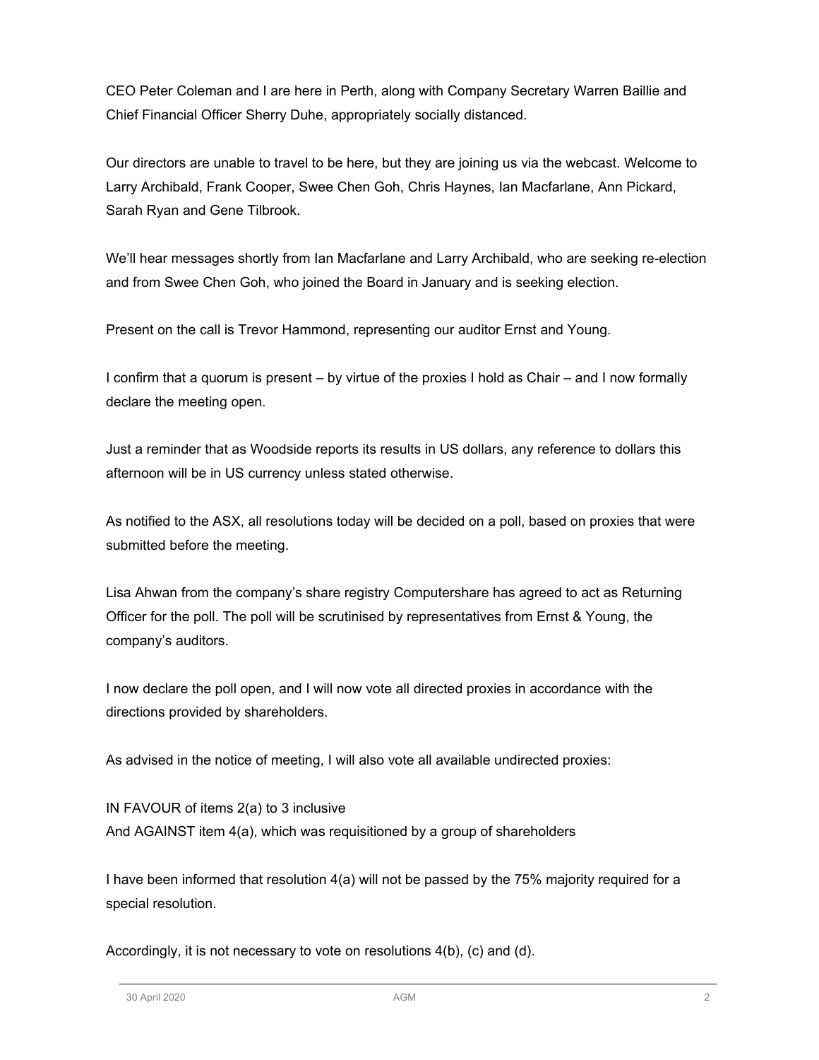CEO Peter Coleman and I are here in Perth, along with Company Secretary Warren Baillie and Chief Financial Officer Sherry Duhe, appropriately socially distanced.

Our directors are unable to travel to be here, but they are joining us via the webcast. Welcome to Larry Archibald, Frank Cooper, Swee Chen Goh, Chris Haynes, Ian Macfarlane, Ann Pickard, Sarah Ryan and Gene Tilbrook.

We'll hear messages shortly from Ian Macfarlane and Larry Archibald, who are seeking re-election and from Swee Chen Goh, who joined the Board in January and is seeking election.

Present on the call is Trevor Hammond, representing our auditor Ernst and Young.

I confirm that a quorum is present – by virtue of the proxies I hold as Chair – and I now formally declare the meeting open.

Just a reminder that as Woodside reports its results in US dollars, any reference to dollars this afternoon will be in US currency unless stated otherwise.

As notified to the ASX, all resolutions today will be decided on a poll, based on proxies that were submitted before the meeting.

Lisa Ahwan from the company's share registry Computershare has agreed to act as Returning Officer for the poll. The poll will be scrutinised by representatives from Ernst & Young, the company's auditors.

I now declare the poll open, and I will now vote all directed proxies in accordance with the directions provided by shareholders.

As advised in the notice of meeting, I will also vote all available undirected proxies:

IN FAVOUR of items 2(a) to 3 inclusive And AGAINST item 4(a), which was requisitioned by a group of shareholders

I have been informed that resolution 4(a) will not be passed by the 75% majority required for a special resolution.

Accordingly, it is not necessary to vote on resolutions 4(b), (c) and (d).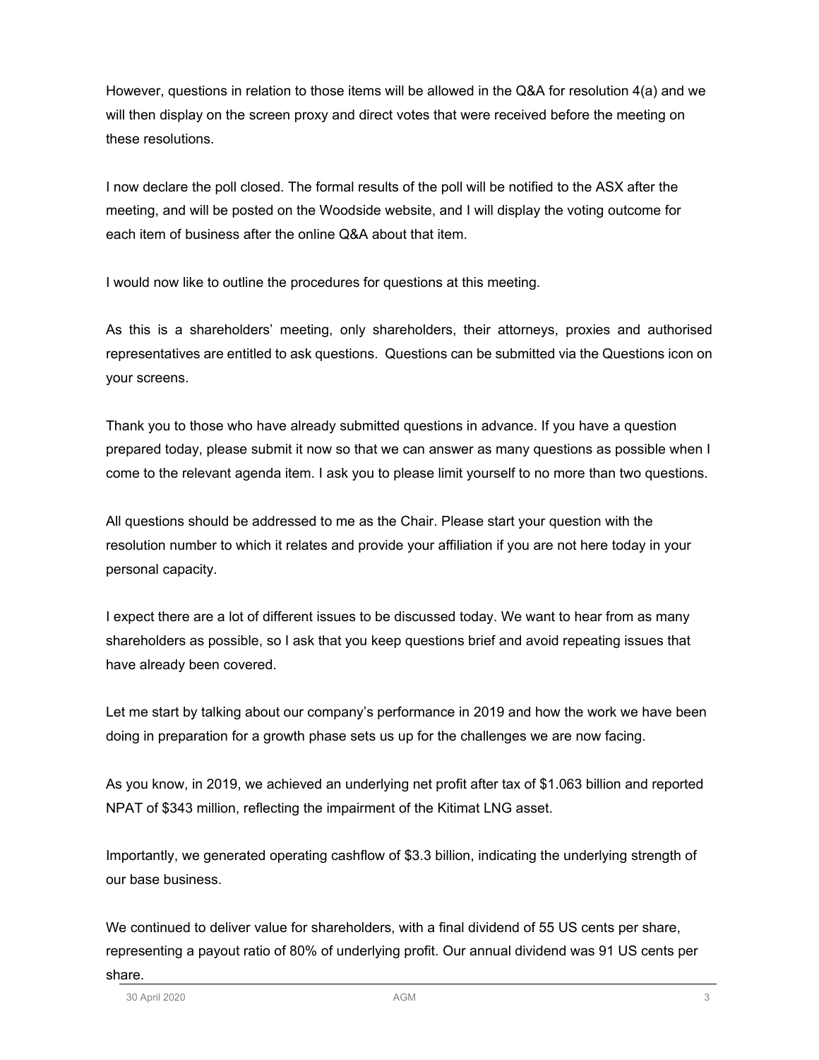However, questions in relation to those items will be allowed in the Q&A for resolution 4(a) and we will then display on the screen proxy and direct votes that were received before the meeting on these resolutions.

I now declare the poll closed. The formal results of the poll will be notified to the ASX after the meeting, and will be posted on the Woodside website, and I will display the voting outcome for each item of business after the online Q&A about that item.

I would now like to outline the procedures for questions at this meeting.

As this is a shareholders' meeting, only shareholders, their attorneys, proxies and authorised representatives are entitled to ask questions. Questions can be submitted via the Questions icon on your screens.

Thank you to those who have already submitted questions in advance. If you have a question prepared today, please submit it now so that we can answer as many questions as possible when I come to the relevant agenda item. I ask you to please limit yourself to no more than two questions.

All questions should be addressed to me as the Chair. Please start your question with the resolution number to which it relates and provide your affiliation if you are not here today in your personal capacity.

I expect there are a lot of different issues to be discussed today. We want to hear from as many shareholders as possible, so I ask that you keep questions brief and avoid repeating issues that have already been covered.

Let me start by talking about our company's performance in 2019 and how the work we have been doing in preparation for a growth phase sets us up for the challenges we are now facing.

As you know, in 2019, we achieved an underlying net profit after tax of \$1.063 billion and reported NPAT of \$343 million, reflecting the impairment of the Kitimat LNG asset.

Importantly, we generated operating cashflow of \$3.3 billion, indicating the underlying strength of our base business.

We continued to deliver value for shareholders, with a final dividend of 55 US cents per share, representing a payout ratio of 80% of underlying profit. Our annual dividend was 91 US cents per share.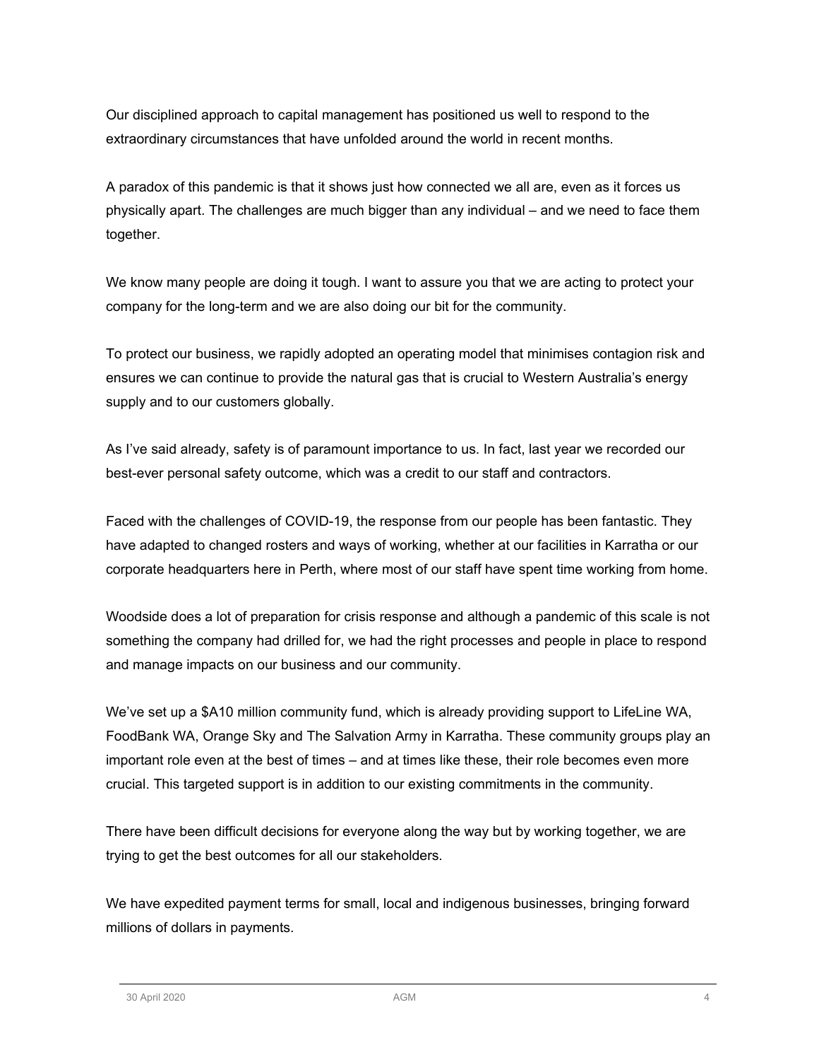Our disciplined approach to capital management has positioned us well to respond to the extraordinary circumstances that have unfolded around the world in recent months.

A paradox of this pandemic is that it shows just how connected we all are, even as it forces us physically apart. The challenges are much bigger than any individual – and we need to face them together.

We know many people are doing it tough. I want to assure you that we are acting to protect your company for the long-term and we are also doing our bit for the community.

To protect our business, we rapidly adopted an operating model that minimises contagion risk and ensures we can continue to provide the natural gas that is crucial to Western Australia's energy supply and to our customers globally.

As I've said already, safety is of paramount importance to us. In fact, last year we recorded our best-ever personal safety outcome, which was a credit to our staff and contractors.

Faced with the challenges of COVID-19, the response from our people has been fantastic. They have adapted to changed rosters and ways of working, whether at our facilities in Karratha or our corporate headquarters here in Perth, where most of our staff have spent time working from home.

Woodside does a lot of preparation for crisis response and although a pandemic of this scale is not something the company had drilled for, we had the right processes and people in place to respond and manage impacts on our business and our community.

We've set up a \$A10 million community fund, which is already providing support to LifeLine WA, FoodBank WA, Orange Sky and The Salvation Army in Karratha. These community groups play an important role even at the best of times – and at times like these, their role becomes even more crucial. This targeted support is in addition to our existing commitments in the community.

There have been difficult decisions for everyone along the way but by working together, we are trying to get the best outcomes for all our stakeholders.

We have expedited payment terms for small, local and indigenous businesses, bringing forward millions of dollars in payments.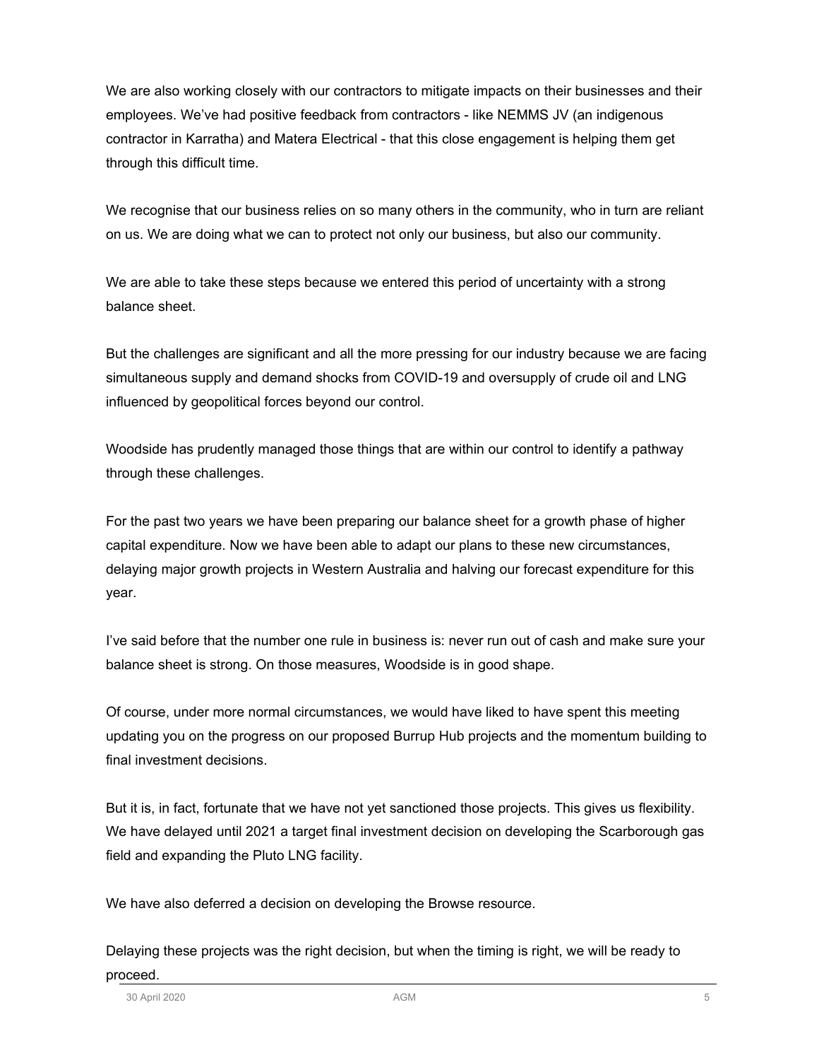We are also working closely with our contractors to mitigate impacts on their businesses and their employees. We've had positive feedback from contractors - like NEMMS JV (an indigenous contractor in Karratha) and Matera Electrical - that this close engagement is helping them get through this difficult time.

We recognise that our business relies on so many others in the community, who in turn are reliant on us. We are doing what we can to protect not only our business, but also our community.

We are able to take these steps because we entered this period of uncertainty with a strong balance sheet.

But the challenges are significant and all the more pressing for our industry because we are facing simultaneous supply and demand shocks from COVID-19 and oversupply of crude oil and LNG influenced by geopolitical forces beyond our control.

Woodside has prudently managed those things that are within our control to identify a pathway through these challenges.

For the past two years we have been preparing our balance sheet for a growth phase of higher capital expenditure. Now we have been able to adapt our plans to these new circumstances, delaying major growth projects in Western Australia and halving our forecast expenditure for this year.

I've said before that the number one rule in business is: never run out of cash and make sure your balance sheet is strong. On those measures, Woodside is in good shape.

Of course, under more normal circumstances, we would have liked to have spent this meeting updating you on the progress on our proposed Burrup Hub projects and the momentum building to final investment decisions.

But it is, in fact, fortunate that we have not yet sanctioned those projects. This gives us flexibility. We have delayed until 2021 a target final investment decision on developing the Scarborough gas field and expanding the Pluto LNG facility.

We have also deferred a decision on developing the Browse resource.

Delaying these projects was the right decision, but when the timing is right, we will be ready to proceed.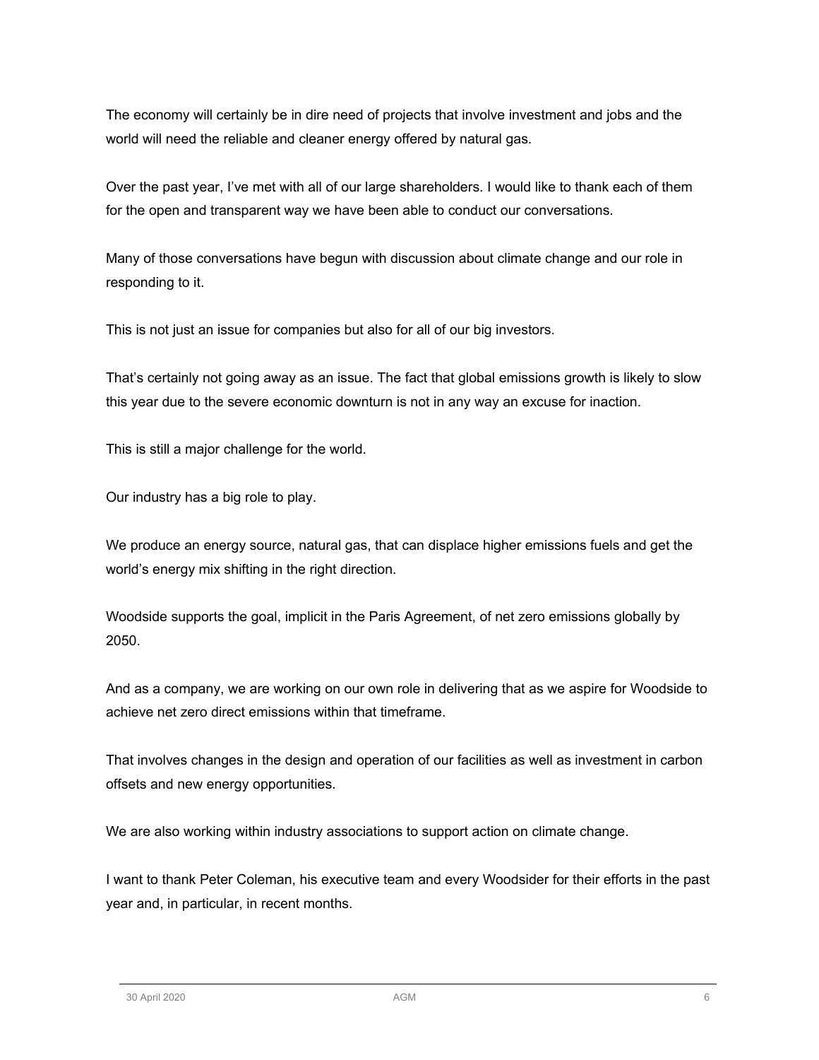The economy will certainly be in dire need of projects that involve investment and jobs and the world will need the reliable and cleaner energy offered by natural gas.

Over the past year, I've met with all of our large shareholders. I would like to thank each of them for the open and transparent way we have been able to conduct our conversations.

Many of those conversations have begun with discussion about climate change and our role in responding to it.

This is not just an issue for companies but also for all of our big investors.

That's certainly not going away as an issue. The fact that global emissions growth is likely to slow this year due to the severe economic downturn is not in any way an excuse for inaction.

This is still a major challenge for the world.

Our industry has a big role to play.

We produce an energy source, natural gas, that can displace higher emissions fuels and get the world's energy mix shifting in the right direction.

Woodside supports the goal, implicit in the Paris Agreement, of net zero emissions globally by 2050.

And as a company, we are working on our own role in delivering that as we aspire for Woodside to achieve net zero direct emissions within that timeframe.

That involves changes in the design and operation of our facilities as well as investment in carbon offsets and new energy opportunities.

We are also working within industry associations to support action on climate change.

I want to thank Peter Coleman, his executive team and every Woodsider for their efforts in the past year and, in particular, in recent months.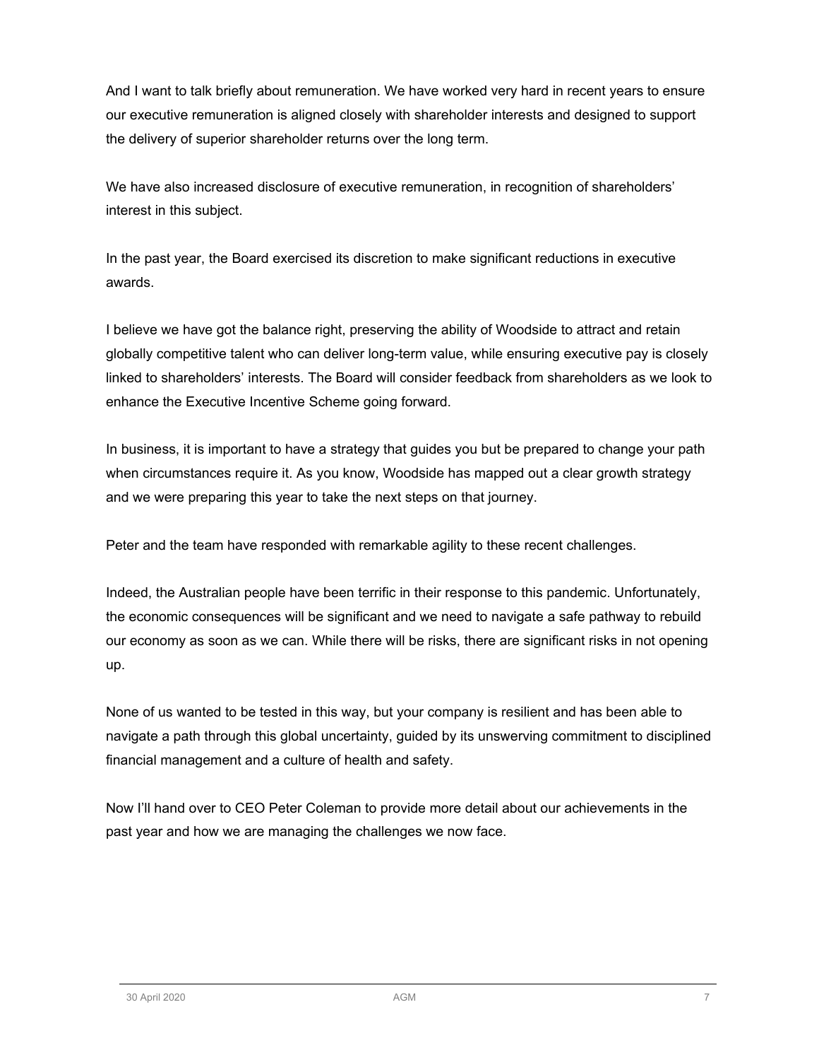And I want to talk briefly about remuneration. We have worked very hard in recent years to ensure our executive remuneration is aligned closely with shareholder interests and designed to support the delivery of superior shareholder returns over the long term.

We have also increased disclosure of executive remuneration, in recognition of shareholders' interest in this subject.

In the past year, the Board exercised its discretion to make significant reductions in executive awards.

I believe we have got the balance right, preserving the ability of Woodside to attract and retain globally competitive talent who can deliver long-term value, while ensuring executive pay is closely linked to shareholders' interests. The Board will consider feedback from shareholders as we look to enhance the Executive Incentive Scheme going forward.

In business, it is important to have a strategy that guides you but be prepared to change your path when circumstances require it. As you know, Woodside has mapped out a clear growth strategy and we were preparing this year to take the next steps on that journey.

Peter and the team have responded with remarkable agility to these recent challenges.

Indeed, the Australian people have been terrific in their response to this pandemic. Unfortunately, the economic consequences will be significant and we need to navigate a safe pathway to rebuild our economy as soon as we can. While there will be risks, there are significant risks in not opening up.

None of us wanted to be tested in this way, but your company is resilient and has been able to navigate a path through this global uncertainty, guided by its unswerving commitment to disciplined financial management and a culture of health and safety.

Now I'll hand over to CEO Peter Coleman to provide more detail about our achievements in the past year and how we are managing the challenges we now face.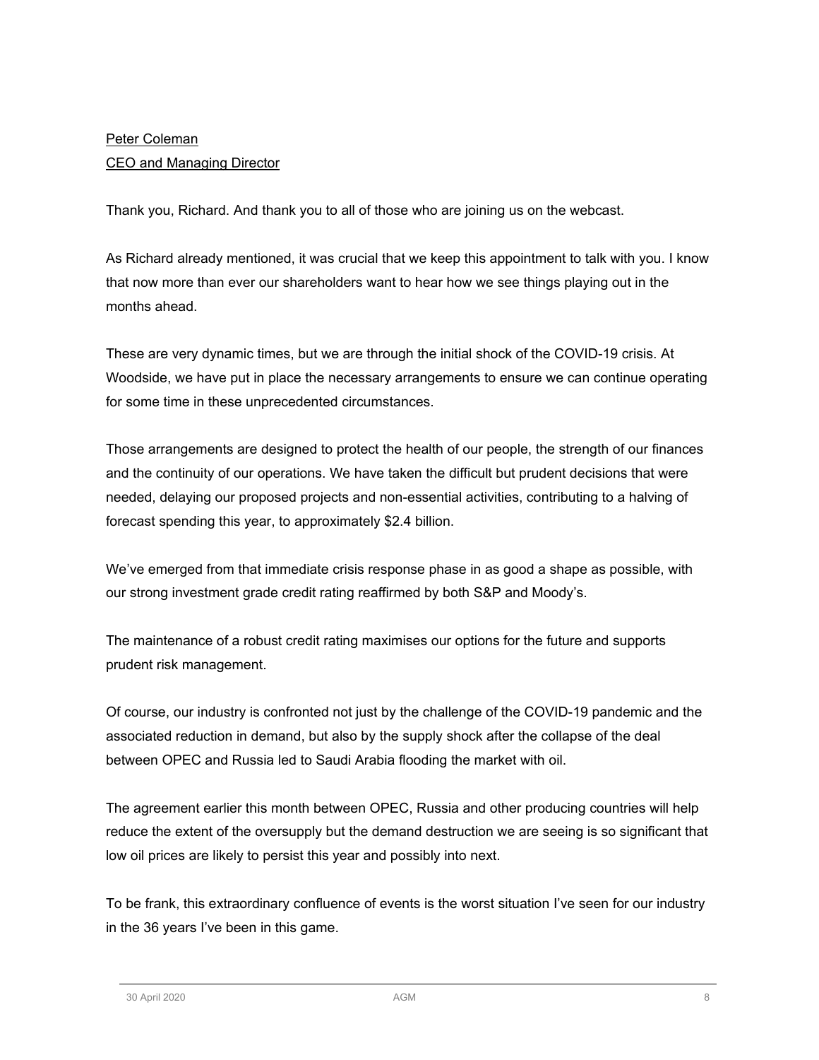## Peter Coleman CEO and Managing Director

Thank you, Richard. And thank you to all of those who are joining us on the webcast.

As Richard already mentioned, it was crucial that we keep this appointment to talk with you. I know that now more than ever our shareholders want to hear how we see things playing out in the months ahead.

These are very dynamic times, but we are through the initial shock of the COVID-19 crisis. At Woodside, we have put in place the necessary arrangements to ensure we can continue operating for some time in these unprecedented circumstances.

Those arrangements are designed to protect the health of our people, the strength of our finances and the continuity of our operations. We have taken the difficult but prudent decisions that were needed, delaying our proposed projects and non-essential activities, contributing to a halving of forecast spending this year, to approximately \$2.4 billion.

We've emerged from that immediate crisis response phase in as good a shape as possible, with our strong investment grade credit rating reaffirmed by both S&P and Moody's.

The maintenance of a robust credit rating maximises our options for the future and supports prudent risk management.

Of course, our industry is confronted not just by the challenge of the COVID-19 pandemic and the associated reduction in demand, but also by the supply shock after the collapse of the deal between OPEC and Russia led to Saudi Arabia flooding the market with oil.

The agreement earlier this month between OPEC, Russia and other producing countries will help reduce the extent of the oversupply but the demand destruction we are seeing is so significant that low oil prices are likely to persist this year and possibly into next.

To be frank, this extraordinary confluence of events is the worst situation I've seen for our industry in the 36 years I've been in this game.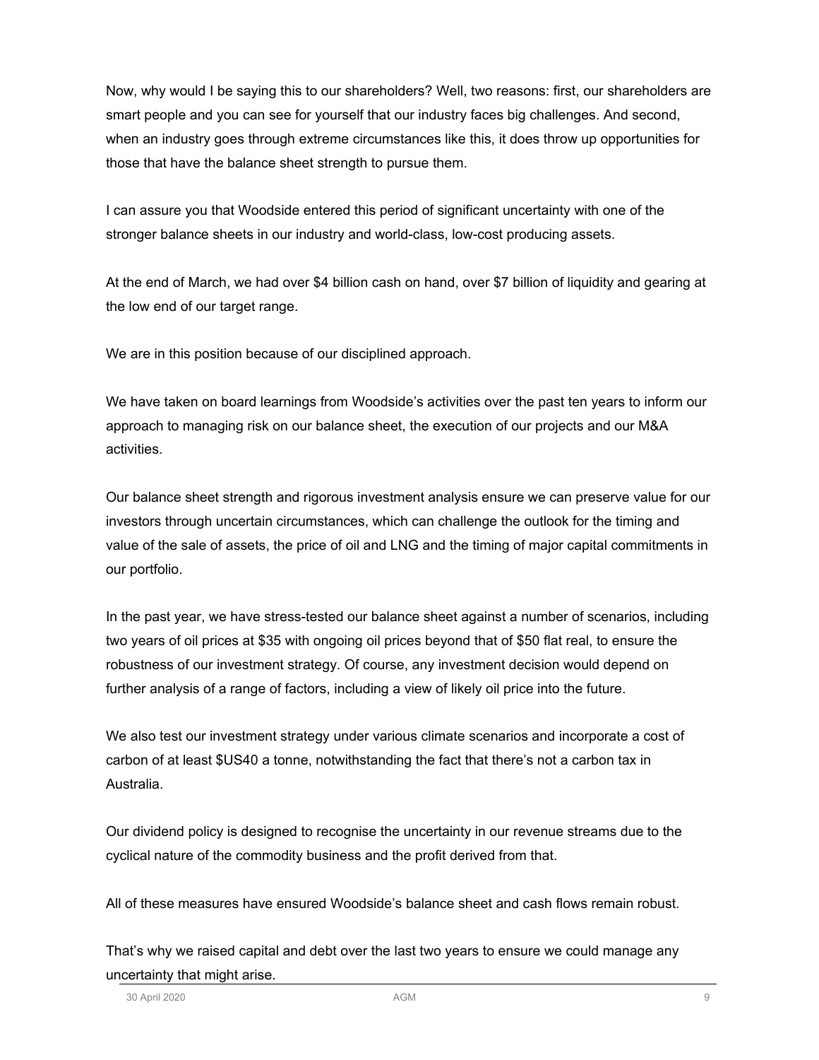Now, why would I be saying this to our shareholders? Well, two reasons: first, our shareholders are smart people and you can see for yourself that our industry faces big challenges. And second, when an industry goes through extreme circumstances like this, it does throw up opportunities for those that have the balance sheet strength to pursue them.

I can assure you that Woodside entered this period of significant uncertainty with one of the stronger balance sheets in our industry and world-class, low-cost producing assets.

At the end of March, we had over \$4 billion cash on hand, over \$7 billion of liquidity and gearing at the low end of our target range.

We are in this position because of our disciplined approach.

We have taken on board learnings from Woodside's activities over the past ten years to inform our approach to managing risk on our balance sheet, the execution of our projects and our M&A activities.

Our balance sheet strength and rigorous investment analysis ensure we can preserve value for our investors through uncertain circumstances, which can challenge the outlook for the timing and value of the sale of assets, the price of oil and LNG and the timing of major capital commitments in our portfolio.

In the past year, we have stress-tested our balance sheet against a number of scenarios, including two years of oil prices at \$35 with ongoing oil prices beyond that of \$50 flat real, to ensure the robustness of our investment strategy. Of course, any investment decision would depend on further analysis of a range of factors, including a view of likely oil price into the future.

We also test our investment strategy under various climate scenarios and incorporate a cost of carbon of at least \$US40 a tonne, notwithstanding the fact that there's not a carbon tax in Australia.

Our dividend policy is designed to recognise the uncertainty in our revenue streams due to the cyclical nature of the commodity business and the profit derived from that.

All of these measures have ensured Woodside's balance sheet and cash flows remain robust.

That's why we raised capital and debt over the last two years to ensure we could manage any uncertainty that might arise.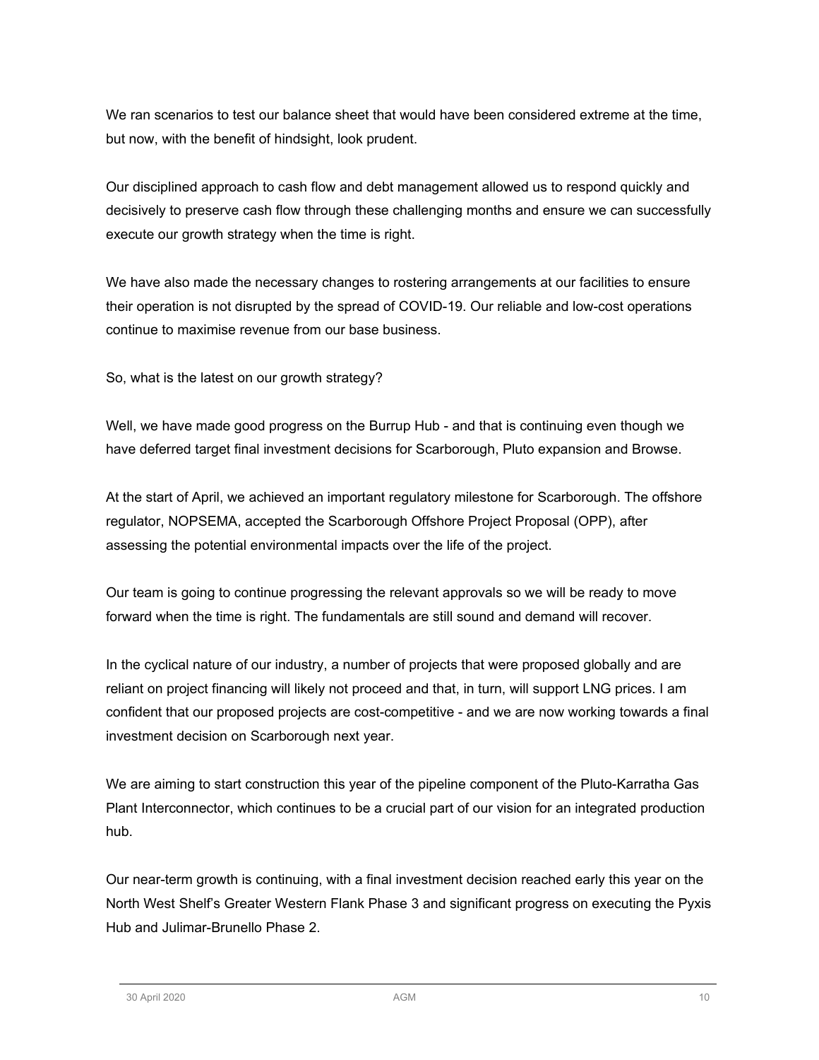We ran scenarios to test our balance sheet that would have been considered extreme at the time, but now, with the benefit of hindsight, look prudent.

Our disciplined approach to cash flow and debt management allowed us to respond quickly and decisively to preserve cash flow through these challenging months and ensure we can successfully execute our growth strategy when the time is right.

We have also made the necessary changes to rostering arrangements at our facilities to ensure their operation is not disrupted by the spread of COVID-19. Our reliable and low-cost operations continue to maximise revenue from our base business.

So, what is the latest on our growth strategy?

Well, we have made good progress on the Burrup Hub - and that is continuing even though we have deferred target final investment decisions for Scarborough, Pluto expansion and Browse.

At the start of April, we achieved an important regulatory milestone for Scarborough. The offshore regulator, NOPSEMA, accepted the Scarborough Offshore Project Proposal (OPP), after assessing the potential environmental impacts over the life of the project.

Our team is going to continue progressing the relevant approvals so we will be ready to move forward when the time is right. The fundamentals are still sound and demand will recover.

In the cyclical nature of our industry, a number of projects that were proposed globally and are reliant on project financing will likely not proceed and that, in turn, will support LNG prices. I am confident that our proposed projects are cost-competitive - and we are now working towards a final investment decision on Scarborough next year.

We are aiming to start construction this year of the pipeline component of the Pluto-Karratha Gas Plant Interconnector, which continues to be a crucial part of our vision for an integrated production hub.

Our near-term growth is continuing, with a final investment decision reached early this year on the North West Shelf's Greater Western Flank Phase 3 and significant progress on executing the Pyxis Hub and Julimar-Brunello Phase 2.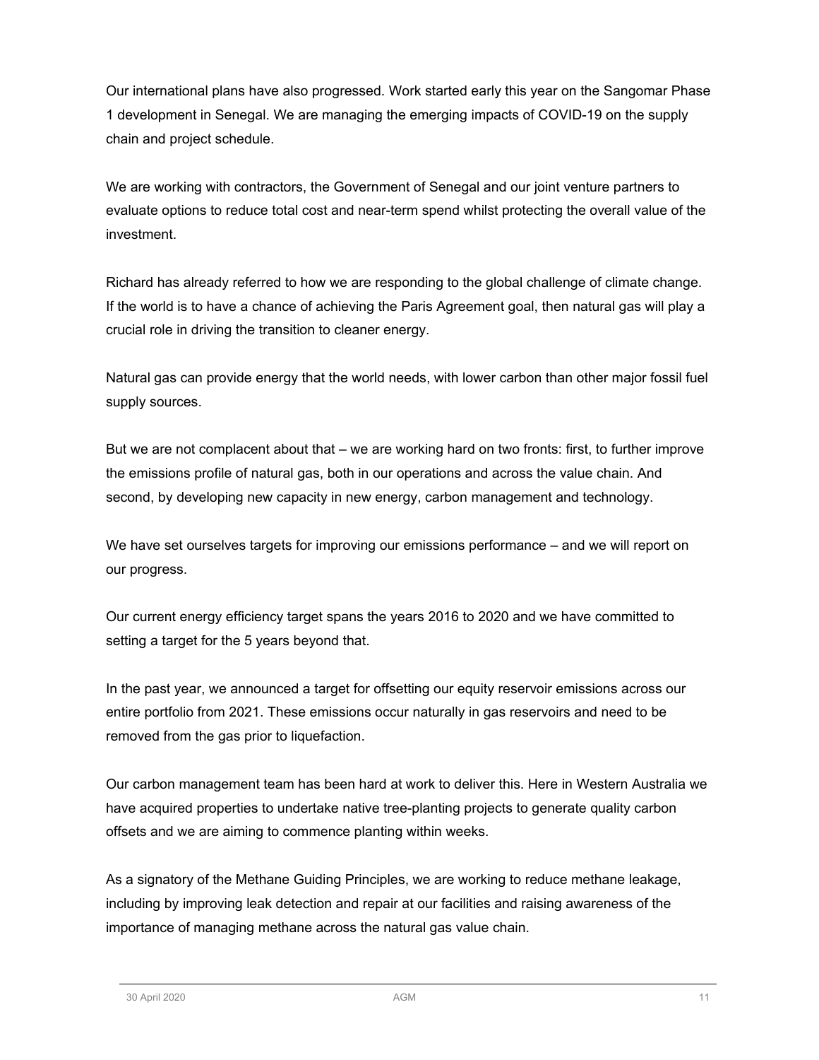Our international plans have also progressed. Work started early this year on the Sangomar Phase 1 development in Senegal. We are managing the emerging impacts of COVID-19 on the supply chain and project schedule.

We are working with contractors, the Government of Senegal and our joint venture partners to evaluate options to reduce total cost and near-term spend whilst protecting the overall value of the investment.

Richard has already referred to how we are responding to the global challenge of climate change. If the world is to have a chance of achieving the Paris Agreement goal, then natural gas will play a crucial role in driving the transition to cleaner energy.

Natural gas can provide energy that the world needs, with lower carbon than other major fossil fuel supply sources.

But we are not complacent about that – we are working hard on two fronts: first, to further improve the emissions profile of natural gas, both in our operations and across the value chain. And second, by developing new capacity in new energy, carbon management and technology.

We have set ourselves targets for improving our emissions performance – and we will report on our progress.

Our current energy efficiency target spans the years 2016 to 2020 and we have committed to setting a target for the 5 years beyond that.

In the past year, we announced a target for offsetting our equity reservoir emissions across our entire portfolio from 2021. These emissions occur naturally in gas reservoirs and need to be removed from the gas prior to liquefaction.

Our carbon management team has been hard at work to deliver this. Here in Western Australia we have acquired properties to undertake native tree-planting projects to generate quality carbon offsets and we are aiming to commence planting within weeks.

As a signatory of the Methane Guiding Principles, we are working to reduce methane leakage, including by improving leak detection and repair at our facilities and raising awareness of the importance of managing methane across the natural gas value chain.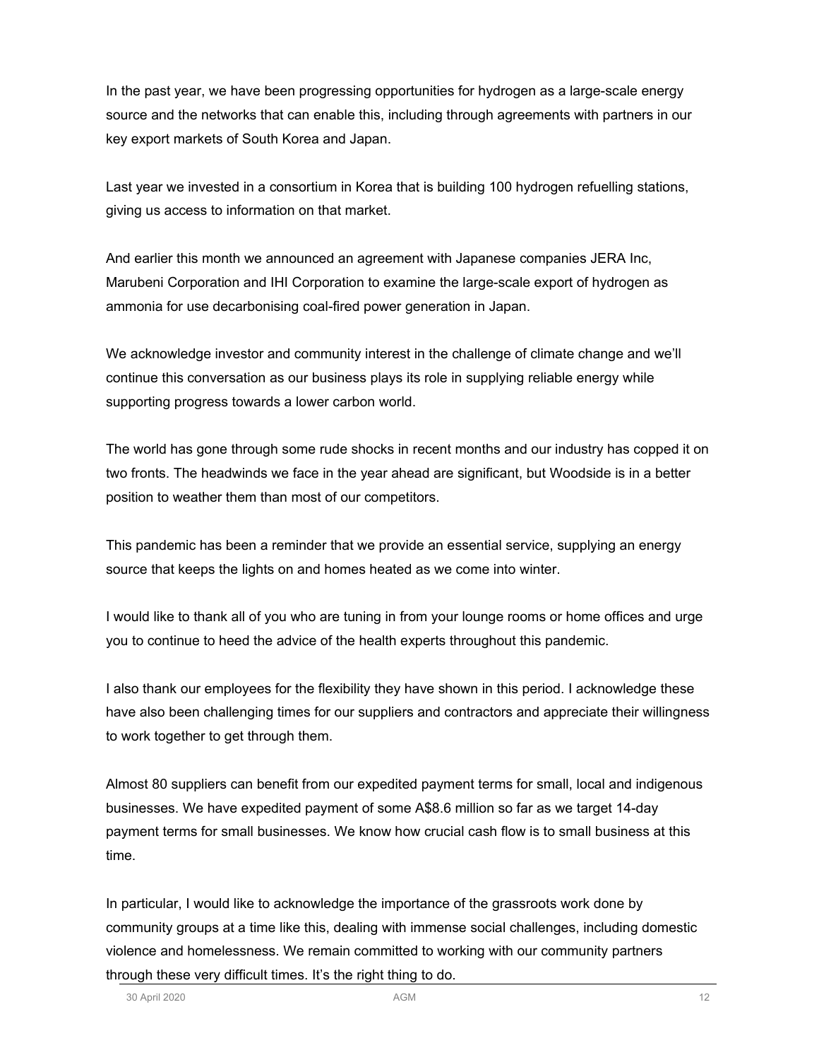In the past year, we have been progressing opportunities for hydrogen as a large-scale energy source and the networks that can enable this, including through agreements with partners in our key export markets of South Korea and Japan.

Last year we invested in a consortium in Korea that is building 100 hydrogen refuelling stations, giving us access to information on that market.

And earlier this month we announced an agreement with Japanese companies JERA Inc, Marubeni Corporation and IHI Corporation to examine the large-scale export of hydrogen as ammonia for use decarbonising coal-fired power generation in Japan.

We acknowledge investor and community interest in the challenge of climate change and we'll continue this conversation as our business plays its role in supplying reliable energy while supporting progress towards a lower carbon world.

The world has gone through some rude shocks in recent months and our industry has copped it on two fronts. The headwinds we face in the year ahead are significant, but Woodside is in a better position to weather them than most of our competitors.

This pandemic has been a reminder that we provide an essential service, supplying an energy source that keeps the lights on and homes heated as we come into winter.

I would like to thank all of you who are tuning in from your lounge rooms or home offices and urge you to continue to heed the advice of the health experts throughout this pandemic.

I also thank our employees for the flexibility they have shown in this period. I acknowledge these have also been challenging times for our suppliers and contractors and appreciate their willingness to work together to get through them.

Almost 80 suppliers can benefit from our expedited payment terms for small, local and indigenous businesses. We have expedited payment of some A\$8.6 million so far as we target 14-day payment terms for small businesses. We know how crucial cash flow is to small business at this time.

In particular, I would like to acknowledge the importance of the grassroots work done by community groups at a time like this, dealing with immense social challenges, including domestic violence and homelessness. We remain committed to working with our community partners through these very difficult times. It's the right thing to do.